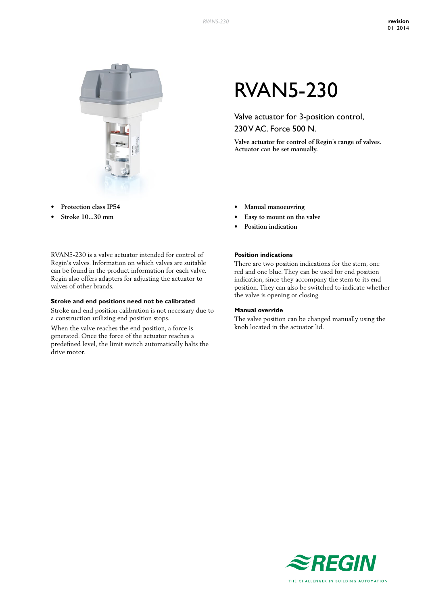

- **• Protection class IP54**
- **• Stroke 10...30 mm**

RVAN5-230 is a valve actuator intended for control of Regin's valves. Information on which valves are suitable can be found in the product information for each valve. Regin also offers adapters for adjusting the actuator to valves of other brands.

#### **Stroke and end positions need not be calibrated**

Stroke and end position calibration is not necessary due to a construction utilizing end position stops.

When the valve reaches the end position, a force is generated. Once the force of the actuator reaches a predefined level, the limit switch automatically halts the drive motor.

# RVAN5-230

Valve actuator for 3-position control, 230 V AC. Force 500 N.

**Valve actuator for control of Regin's range of valves. Actuator can be set manually.**

- **• Manual manoeuvring**
- **• Easy to mount on the valve**
- **• Position indication**

### **Position indications**

There are two position indications for the stem, one red and one blue. They can be used for end position indication, since they accompany the stem to its end position. They can also be switched to indicate whether the valve is opening or closing.

#### **Manual override**

The valve position can be changed manually using the knob located in the actuator lid.